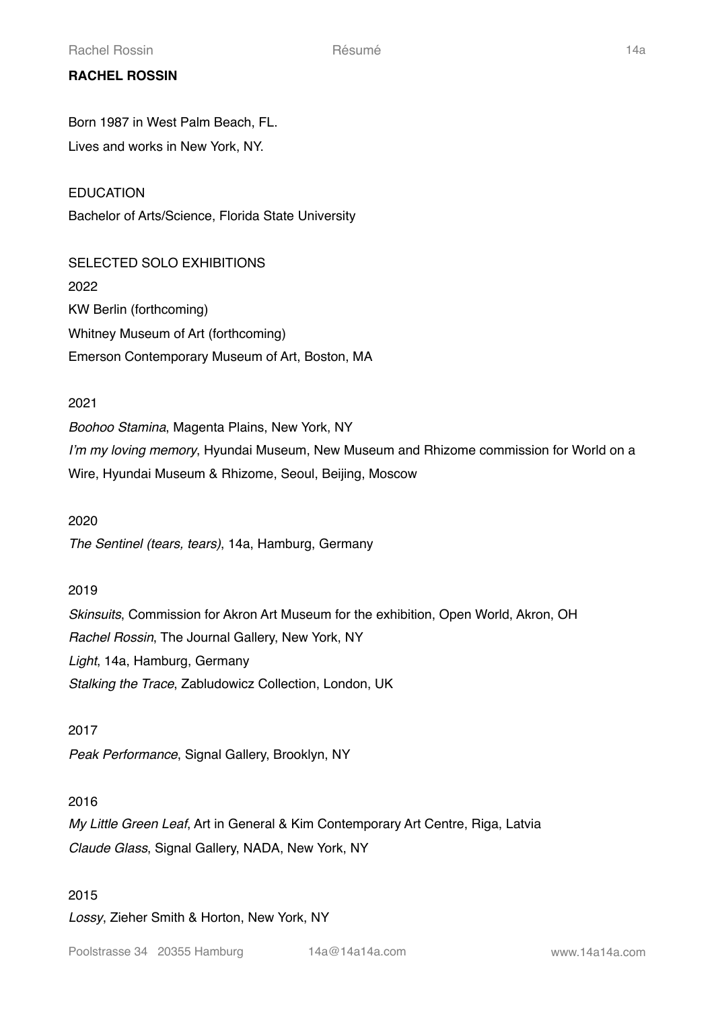# **RACHEL ROSSIN**

Born 1987 in West Palm Beach, FL. Lives and works in New York, NY.

EDUCATION Bachelor of Arts/Science, Florida State University

SELECTED SOLO EXHIBITIONS 2022 KW Berlin (forthcoming) Whitney Museum of Art (forthcoming) Emerson Contemporary Museum of Art, Boston, MA

## 2021

*Boohoo Stamina*, Magenta Plains, New York, NY *I'm my loving memory*, Hyundai Museum, New Museum and Rhizome commission for World on a Wire, Hyundai Museum & Rhizome, Seoul, Beijing, Moscow

## 2020

*The Sentinel (tears, tears)*, 14a, Hamburg, Germany

## 2019

*Skinsuits*, Commission for Akron Art Museum for the exhibition, Open World, Akron, OH *Rachel Rossin*, The Journal Gallery, New York, NY *Light*, 14a, Hamburg, Germany *Stalking the Trace*, Zabludowicz Collection, London, UK

## 2017

*Peak Performance*, Signal Gallery, Brooklyn, NY

## 2016

*My Little Green Leaf*, Art in General & Kim Contemporary Art Centre, Riga, Latvia *Claude Glass*, Signal Gallery, NADA, New York, NY

## 2015

*Lossy*, Zieher Smith & Horton, New York, NY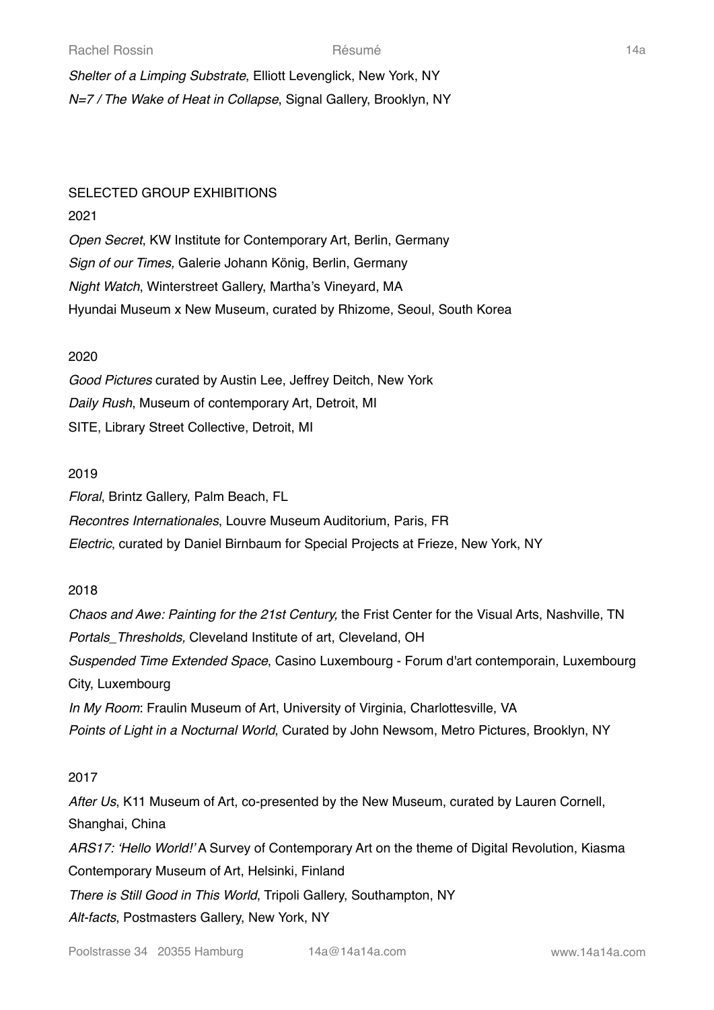*Shelter of a Limping Substrate*, Elliott Levenglick, New York, NY *N=7 / The Wake of Heat in Collapse*, Signal Gallery, Brooklyn, NY

## SELECTED GROUP EXHIBITIONS

## 2021

*Open Secret*, KW Institute for Contemporary Art, Berlin, Germany *Sign of our Times,* Galerie Johann König, Berlin, Germany *Night Watch*, Winterstreet Gallery, Martha's Vineyard, MA Hyundai Museum x New Museum, curated by Rhizome, Seoul, South Korea

## 2020

*Good Pictures* curated by Austin Lee, Jeffrey Deitch, New York *Daily Rush*, Museum of contemporary Art, Detroit, MI SITE, Library Street Collective, Detroit, MI

## 2019

*Floral*, Brintz Gallery, Palm Beach, FL *Recontres Internationales*, Louvre Museum Auditorium, Paris, FR *Electric*, curated by Daniel Birnbaum for Special Projects at Frieze, New York, NY

## 2018

*Chaos and Awe: Painting for the 21st Century,* the Frist Center for the Visual Arts, Nashville, TN *Portals\_Thresholds,* Cleveland Institute of art, Cleveland, OH *Suspended Time Extended Space*, Casino Luxembourg - Forum d'art contemporain, Luxembourg City, Luxembourg *In My Room*: Fraulin Museum of Art, University of Virginia, Charlottesville, VA *Points of Light in a Nocturnal World*, Curated by John Newsom, Metro Pictures, Brooklyn, NY

## 2017

*After Us*, K11 Museum of Art, co-presented by the New Museum, curated by Lauren Cornell, Shanghai, China *ARS17: 'Hello World!'* A Survey of Contemporary Art on the theme of Digital Revolution, Kiasma Contemporary Museum of Art, Helsinki, Finland *There is Still Good in This World*, Tripoli Gallery, Southampton, NY *Alt-facts*, Postmasters Gallery, New York, NY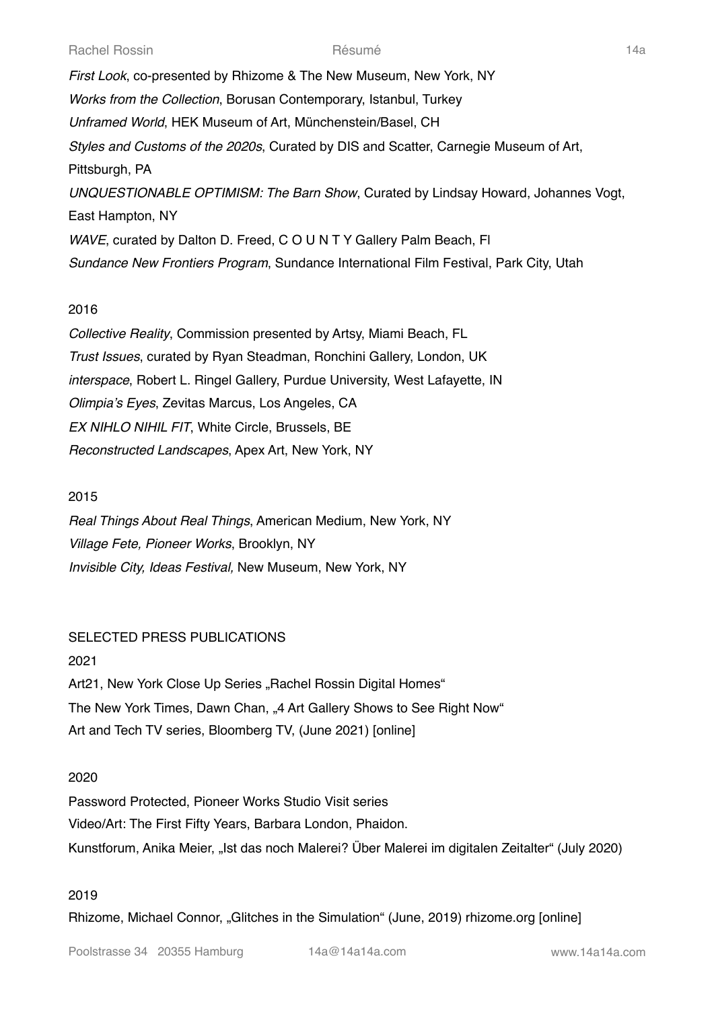*First Look*, co-presented by Rhizome & The New Museum, New York, NY *Works from the Collection*, Borusan Contemporary, Istanbul, Turkey *Unframed World*, HEK Museum of Art, Münchenstein/Basel, CH *Styles and Customs of the 2020s*, Curated by DIS and Scatter, Carnegie Museum of Art, Pittsburgh, PA *UNQUESTIONABLE OPTIMISM: The Barn Show*, Curated by Lindsay Howard, Johannes Vogt, East Hampton, NY *WAVE*, curated by Dalton D. Freed, C O U N T Y Gallery Palm Beach, Fl *Sundance New Frontiers Program*, Sundance International Film Festival, Park City, Utah

## 2016

*Collective Reality*, Commission presented by Artsy, Miami Beach, FL *Trust Issues*, curated by Ryan Steadman, Ronchini Gallery, London, UK *interspace*, Robert L. Ringel Gallery, Purdue University, West Lafayette, IN *Olimpia's Eyes*, Zevitas Marcus, Los Angeles, CA *EX NIHLO NIHIL FIT*, White Circle, Brussels, BE *Reconstructed Landscapes*, Apex Art, New York, NY

## 2015

*Real Things About Real Things*, American Medium, New York, NY *Village Fete, Pioneer Works*, Brooklyn, NY *Invisible City, Ideas Festival,* New Museum, New York, NY

## SELECTED PRESS PUBLICATIONS

# 2021

Art21, New York Close Up Series "Rachel Rossin Digital Homes" The New York Times, Dawn Chan, "4 Art Gallery Shows to See Right Now" Art and Tech TV series, Bloomberg TV, (June 2021) [online]

## 2020

Password Protected, Pioneer Works Studio Visit series Video/Art: The First Fifty Years, Barbara London, Phaidon. Kunstforum, Anika Meier, "Ist das noch Malerei? Über Malerei im digitalen Zeitalter" (July 2020)

## 2019

Rhizome, Michael Connor, "Glitches in the Simulation" (June, 2019) rhizome.org [online]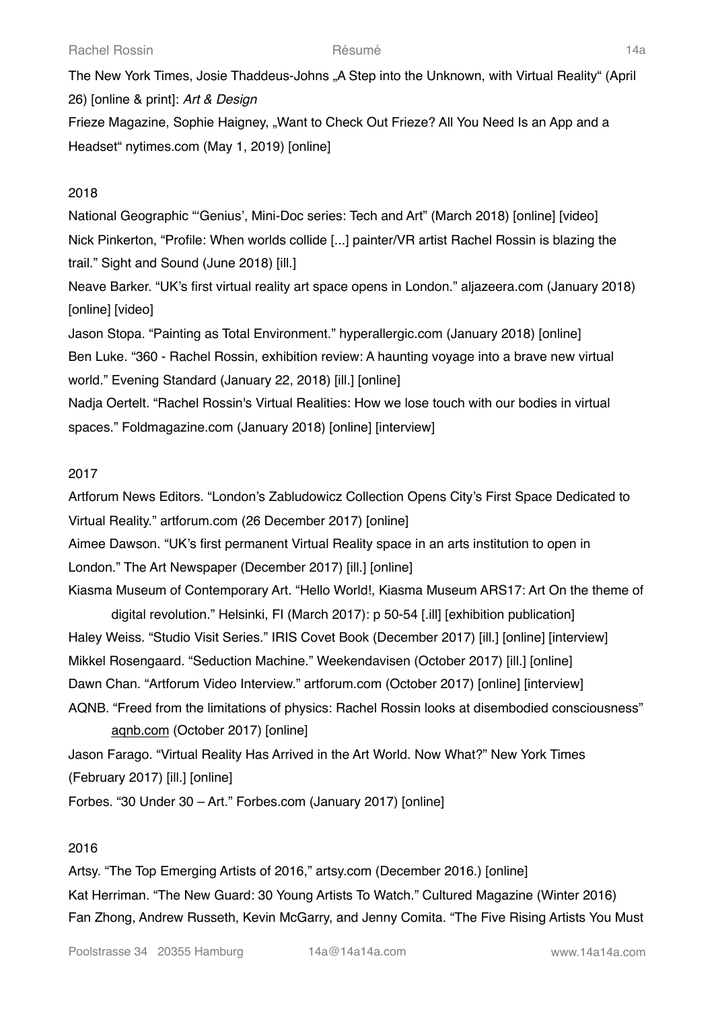The New York Times, Josie Thaddeus-Johns "A Step into the Unknown, with Virtual Reality" (April 26) [online & print]: *Art & Design* Frieze Magazine, Sophie Haigney, "Want to Check Out Frieze? All You Need Is an App and a Headset" nytimes.com (May 1, 2019) [online]

## 2018

National Geographic "'Genius', Mini-Doc series: Tech and Art" (March 2018) [online] [video] Nick Pinkerton, "Profile: When worlds collide [...] painter/VR artist Rachel Rossin is blazing the trail." Sight and Sound (June 2018) [ill.]

Neave Barker. "UK's first virtual reality art space opens in London." aljazeera.com (January 2018) [online] [video]

Jason Stopa. "Painting as Total Environment." hyperallergic.com (January 2018) [online] Ben Luke. "360 - Rachel Rossin, exhibition review: A haunting voyage into a brave new virtual world." Evening Standard (January 22, 2018) [ill.] [online] Nadja Oertelt. "Rachel Rossin's Virtual Realities: How we lose touch with our bodies in virtual

spaces." Foldmagazine.com (January 2018) [online] [interview]

## 2017

Artforum News Editors. "London's Zabludowicz Collection Opens City's First Space Dedicated to Virtual Reality." artforum.com (26 December 2017) [online] Aimee Dawson. "UK's first permanent Virtual Reality space in an arts institution to open in London." The Art Newspaper (December 2017) [ill.] [online] Kiasma Museum of Contemporary Art. "Hello World!, Kiasma Museum ARS17: Art On the theme of

digital revolution." Helsinki, FI (March 2017): p 50-54 [.ill] [exhibition publication] Haley Weiss. "Studio Visit Series." IRIS Covet Book (December 2017) [ill.] [online] [interview] Mikkel Rosengaard. "Seduction Machine." Weekendavisen (October 2017) [ill.] [online] Dawn Chan. "Artforum Video Interview." artforum.com (October 2017) [online] [interview] AQNB. "Freed from the limitations of physics: Rachel Rossin looks at disembodied consciousness"

[aqnb.com](http://aqnb.com) (October 2017) [online] Jason Farago. "Virtual Reality Has Arrived in the Art World. Now What?" New York Times (February 2017) [ill.] [online] Forbes. "30 Under 30 – Art." Forbes.com (January 2017) [online]

## 2016

Artsy. "The Top Emerging Artists of 2016," artsy.com (December 2016.) [online] Kat Herriman. "The New Guard: 30 Young Artists To Watch." Cultured Magazine (Winter 2016) Fan Zhong, Andrew Russeth, Kevin McGarry, and Jenny Comita. "The Five Rising Artists You Must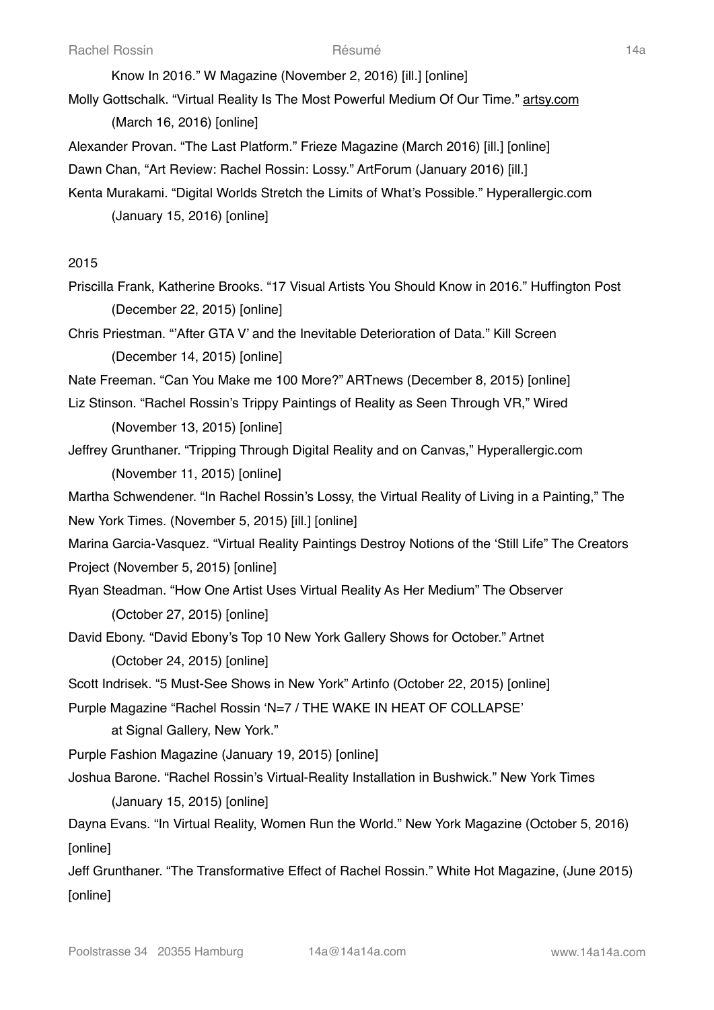Know In 2016." W Magazine (November 2, 2016) [ill.] [online]

Molly Gottschalk. "Virtual Reality Is The Most Powerful Medium Of Our Time." [artsy.com](http://artsy.com) (March 16, 2016) [online]

Alexander Provan. "The Last Platform." Frieze Magazine (March 2016) [ill.] [online]

Dawn Chan, "Art Review: Rachel Rossin: Lossy." ArtForum (January 2016) [ill.]

Kenta Murakami. "Digital Worlds Stretch the Limits of What's Possible." Hyperallergic.com (January 15, 2016) [online]

## 2015

Priscilla Frank, Katherine Brooks. "17 Visual Artists You Should Know in 2016." Huffington Post (December 22, 2015) [online]

Chris Priestman. "'After GTA V' and the Inevitable Deterioration of Data." Kill Screen (December 14, 2015) [online]

Nate Freeman. "Can You Make me 100 More?" ARTnews (December 8, 2015) [online]

Liz Stinson. "Rachel Rossin's Trippy Paintings of Reality as Seen Through VR," Wired

(November 13, 2015) [online]

Jeffrey Grunthaner. "Tripping Through Digital Reality and on Canvas," Hyperallergic.com (November 11, 2015) [online]

Martha Schwendener. "In Rachel Rossin's Lossy, the Virtual Reality of Living in a Painting," The New York Times. (November 5, 2015) [ill.] [online]

Marina Garcia-Vasquez. "Virtual Reality Paintings Destroy Notions of the 'Still Life" The Creators

Project (November 5, 2015) [online]

Ryan Steadman. "How One Artist Uses Virtual Reality As Her Medium" The Observer

(October 27, 2015) [online]

- David Ebony. "David Ebony's Top 10 New York Gallery Shows for October." Artnet (October 24, 2015) [online]
- Scott Indrisek. "5 Must-See Shows in New York" Artinfo (October 22, 2015) [online]

Purple Magazine "Rachel Rossin 'N=7 / THE WAKE IN HEAT OF COLLAPSE'

at Signal Gallery, New York."

Purple Fashion Magazine (January 19, 2015) [online]

Joshua Barone. "Rachel Rossin's Virtual-Reality Installation in Bushwick." New York Times (January 15, 2015) [online]

Dayna Evans. "In Virtual Reality, Women Run the World." New York Magazine (October 5, 2016) [online]

Jeff Grunthaner. "The Transformative Effect of Rachel Rossin." White Hot Magazine, (June 2015) **[online]**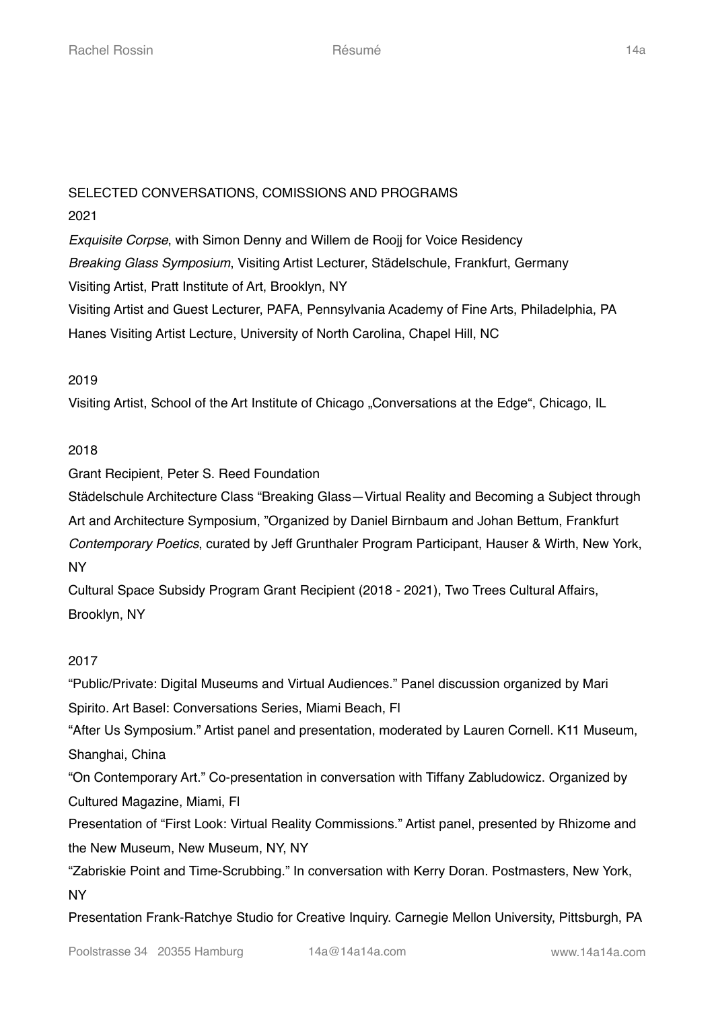# SELECTED CONVERSATIONS, COMISSIONS AND PROGRAMS 2021

*Exquisite Corpse*, with Simon Denny and Willem de Roojj for Voice Residency *Breaking Glass Symposium*, Visiting Artist Lecturer, Städelschule, Frankfurt, Germany Visiting Artist, Pratt Institute of Art, Brooklyn, NY Visiting Artist and Guest Lecturer, PAFA, Pennsylvania Academy of Fine Arts, Philadelphia, PA Hanes Visiting Artist Lecture, University of North Carolina, Chapel Hill, NC

## 2019

Visiting Artist, School of the Art Institute of Chicago "Conversations at the Edge", Chicago, IL

# 2018

Grant Recipient, Peter S. Reed Foundation

Städelschule Architecture Class "Breaking Glass—Virtual Reality and Becoming a Subject through Art and Architecture Symposium, "Organized by Daniel Birnbaum and Johan Bettum, Frankfurt *Contemporary Poetics*, curated by Jeff Grunthaler Program Participant, Hauser & Wirth, New York, NY

Cultural Space Subsidy Program Grant Recipient (2018 - 2021), Two Trees Cultural Affairs, Brooklyn, NY

## 2017

"Public/Private: Digital Museums and Virtual Audiences." Panel discussion organized by Mari Spirito. Art Basel: Conversations Series, Miami Beach, Fl

"After Us Symposium." Artist panel and presentation, moderated by Lauren Cornell. K11 Museum, Shanghai, China

"On Contemporary Art." Co-presentation in conversation with Tiffany Zabludowicz. Organized by Cultured Magazine, Miami, Fl

Presentation of "First Look: Virtual Reality Commissions." Artist panel, presented by Rhizome and the New Museum, New Museum, NY, NY

"Zabriskie Point and Time-Scrubbing." In conversation with Kerry Doran. Postmasters, New York, NY

Presentation Frank-Ratchye Studio for Creative Inquiry. Carnegie Mellon University, Pittsburgh, PA